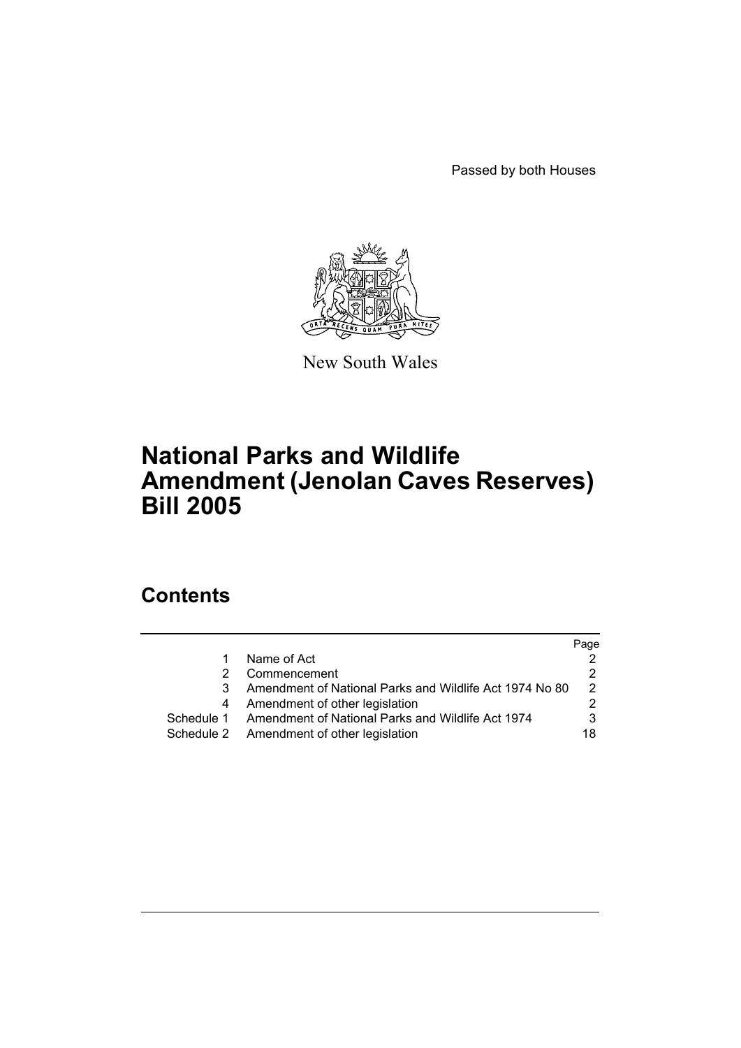Passed by both Houses



New South Wales

# **National Parks and Wildlife Amendment (Jenolan Caves Reserves) Bill 2005**

# **Contents**

|            |                                                         | Page |
|------------|---------------------------------------------------------|------|
|            | Name of Act                                             |      |
|            | Commencement                                            |      |
|            | Amendment of National Parks and Wildlife Act 1974 No 80 | 2    |
|            | Amendment of other legislation                          |      |
| Schedule 1 | Amendment of National Parks and Wildlife Act 1974       | 3    |
|            | Schedule 2 Amendment of other legislation               | 18   |
|            |                                                         |      |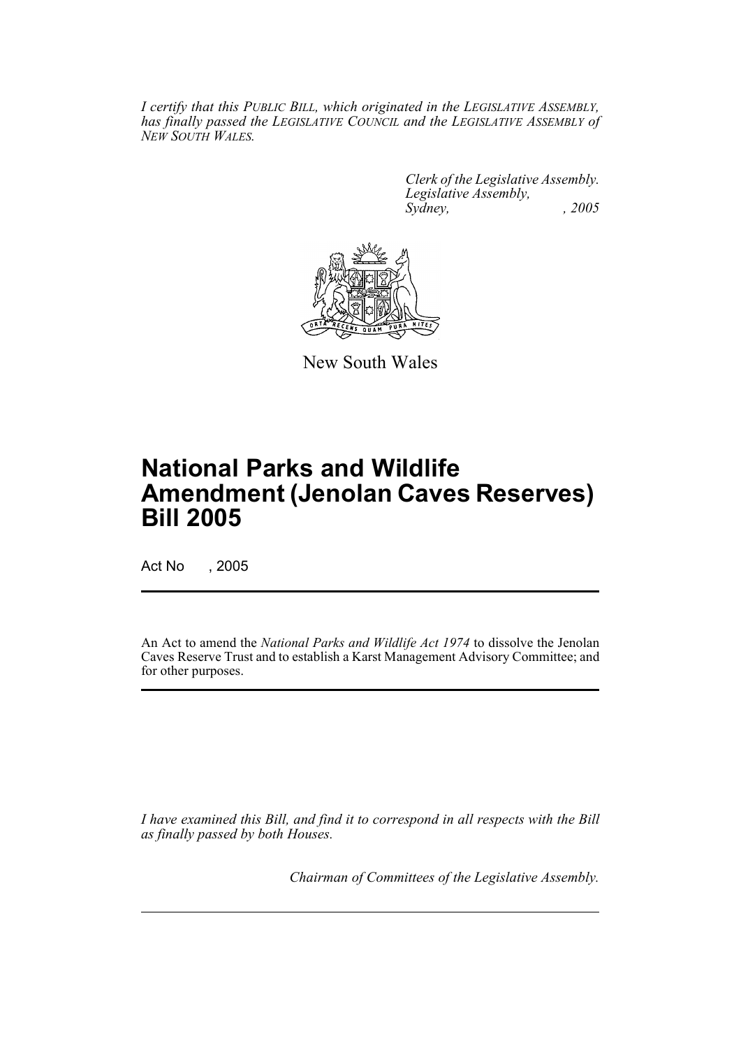*I certify that this PUBLIC BILL, which originated in the LEGISLATIVE ASSEMBLY, has finally passed the LEGISLATIVE COUNCIL and the LEGISLATIVE ASSEMBLY of NEW SOUTH WALES.*

> *Clerk of the Legislative Assembly. Legislative Assembly, Sydney, , 2005*



New South Wales

# **National Parks and Wildlife Amendment (Jenolan Caves Reserves) Bill 2005**

Act No , 2005

An Act to amend the *National Parks and Wildlife Act 1974* to dissolve the Jenolan Caves Reserve Trust and to establish a Karst Management Advisory Committee; and for other purposes.

*I have examined this Bill, and find it to correspond in all respects with the Bill as finally passed by both Houses.*

*Chairman of Committees of the Legislative Assembly.*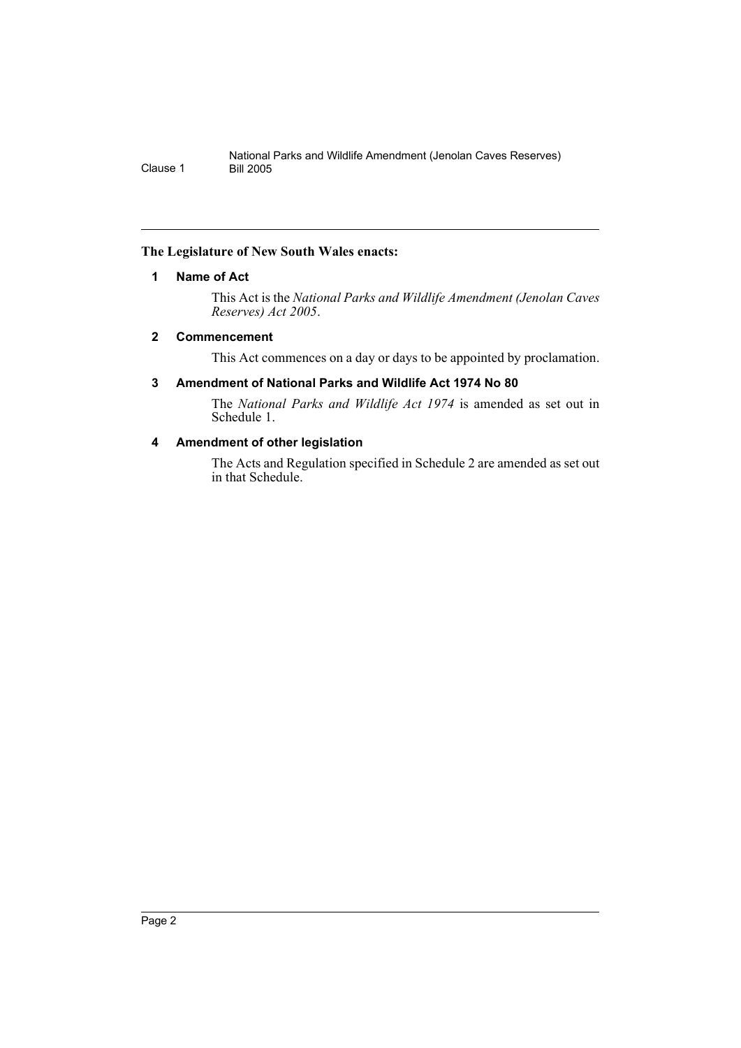# <span id="page-2-0"></span>**The Legislature of New South Wales enacts:**

# **1 Name of Act**

This Act is the *National Parks and Wildlife Amendment (Jenolan Caves Reserves) Act 2005*.

# <span id="page-2-1"></span>**2 Commencement**

This Act commences on a day or days to be appointed by proclamation.

# <span id="page-2-2"></span>**3 Amendment of National Parks and Wildlife Act 1974 No 80**

The *National Parks and Wildlife Act 1974* is amended as set out in Schedule 1.

# <span id="page-2-3"></span>**4 Amendment of other legislation**

The Acts and Regulation specified in Schedule 2 are amended as set out in that Schedule.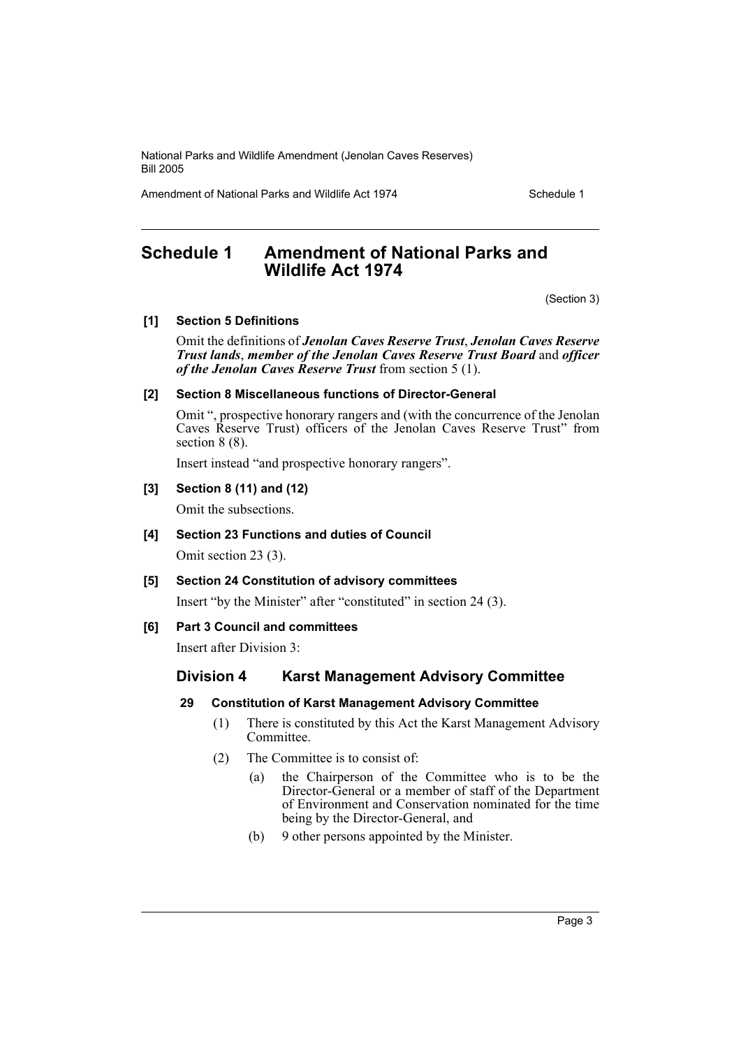Amendment of National Parks and Wildlife Act 1974 Schedule 1

# <span id="page-3-0"></span>**Schedule 1 Amendment of National Parks and Wildlife Act 1974**

(Section 3)

# **[1] Section 5 Definitions**

Omit the definitions of *Jenolan Caves Reserve Trust*, *Jenolan Caves Reserve Trust lands*, *member of the Jenolan Caves Reserve Trust Board* and *officer of the Jenolan Caves Reserve Trust* from section 5 (1).

# **[2] Section 8 Miscellaneous functions of Director-General**

Omit ", prospective honorary rangers and (with the concurrence of the Jenolan Caves Reserve Trust) officers of the Jenolan Caves Reserve Trust" from section 8 (8).

Insert instead "and prospective honorary rangers".

# **[3] Section 8 (11) and (12)**

Omit the subsections.

# **[4] Section 23 Functions and duties of Council**

Omit section 23 (3).

# **[5] Section 24 Constitution of advisory committees**

Insert "by the Minister" after "constituted" in section 24 (3).

# **[6] Part 3 Council and committees**

Insert after Division 3:

# **Division 4 Karst Management Advisory Committee**

# **29 Constitution of Karst Management Advisory Committee**

- (1) There is constituted by this Act the Karst Management Advisory Committee.
- (2) The Committee is to consist of:
	- (a) the Chairperson of the Committee who is to be the Director-General or a member of staff of the Department of Environment and Conservation nominated for the time being by the Director-General, and
	- (b) 9 other persons appointed by the Minister.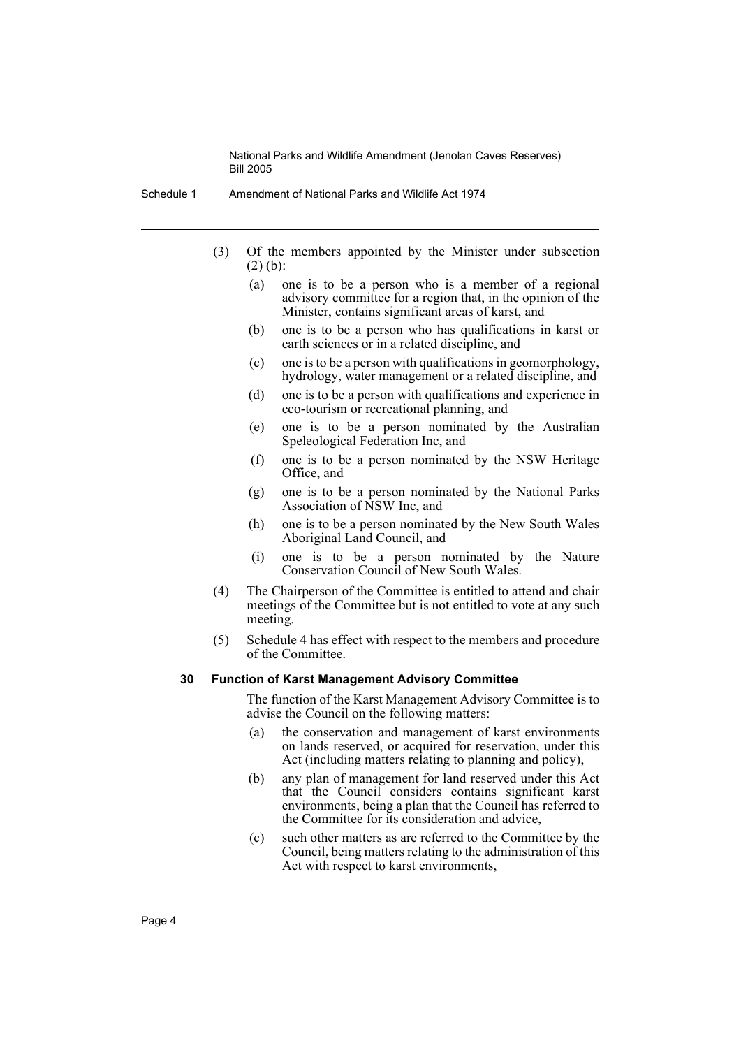Schedule 1 Amendment of National Parks and Wildlife Act 1974

- (3) Of the members appointed by the Minister under subsection (2) (b):
	- (a) one is to be a person who is a member of a regional advisory committee for a region that, in the opinion of the Minister, contains significant areas of karst, and
	- (b) one is to be a person who has qualifications in karst or earth sciences or in a related discipline, and
	- (c) one is to be a person with qualifications in geomorphology, hydrology, water management or a related discipline, and
	- (d) one is to be a person with qualifications and experience in eco-tourism or recreational planning, and
	- (e) one is to be a person nominated by the Australian Speleological Federation Inc, and
	- (f) one is to be a person nominated by the NSW Heritage Office, and
	- (g) one is to be a person nominated by the National Parks Association of NSW Inc, and
	- (h) one is to be a person nominated by the New South Wales Aboriginal Land Council, and
	- (i) one is to be a person nominated by the Nature Conservation Council of New South Wales.
- (4) The Chairperson of the Committee is entitled to attend and chair meetings of the Committee but is not entitled to vote at any such meeting.
- (5) Schedule 4 has effect with respect to the members and procedure of the Committee.

#### **30 Function of Karst Management Advisory Committee**

The function of the Karst Management Advisory Committee is to advise the Council on the following matters:

- (a) the conservation and management of karst environments on lands reserved, or acquired for reservation, under this Act (including matters relating to planning and policy),
- (b) any plan of management for land reserved under this Act that the Council considers contains significant karst environments, being a plan that the Council has referred to the Committee for its consideration and advice,
- (c) such other matters as are referred to the Committee by the Council, being matters relating to the administration of this Act with respect to karst environments,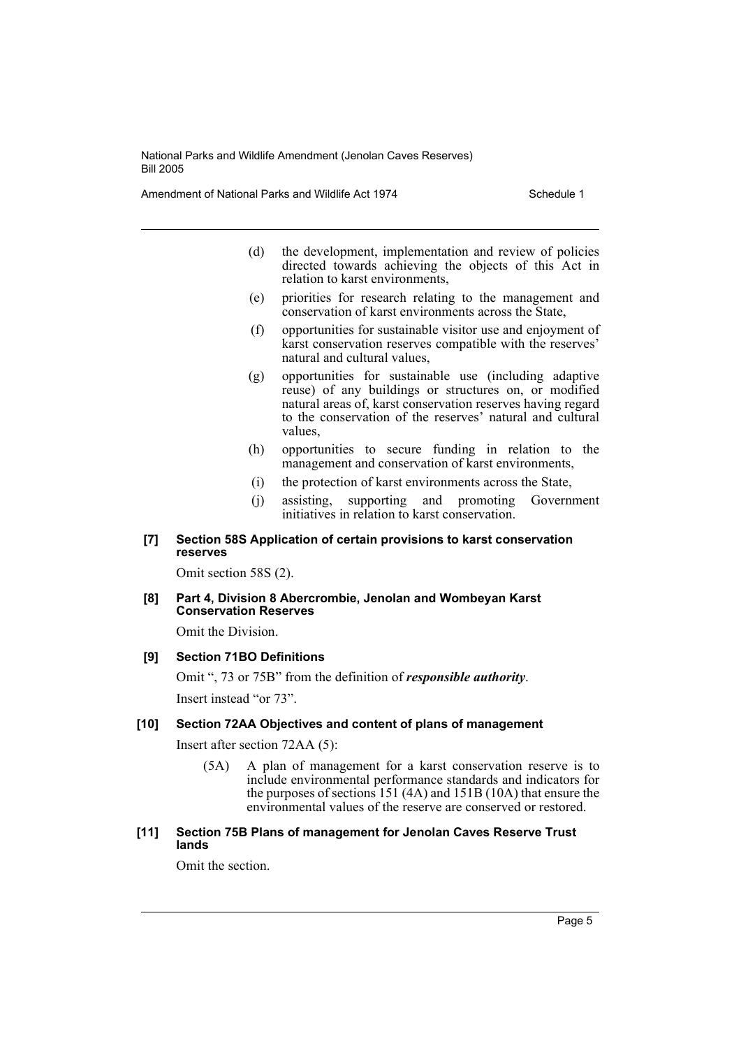Amendment of National Parks and Wildlife Act 1974 Schedule 1

- (d) the development, implementation and review of policies directed towards achieving the objects of this Act in relation to karst environments,
- (e) priorities for research relating to the management and conservation of karst environments across the State,
- (f) opportunities for sustainable visitor use and enjoyment of karst conservation reserves compatible with the reserves' natural and cultural values,
- (g) opportunities for sustainable use (including adaptive reuse) of any buildings or structures on, or modified natural areas of, karst conservation reserves having regard to the conservation of the reserves' natural and cultural values,
- (h) opportunities to secure funding in relation to the management and conservation of karst environments,
- (i) the protection of karst environments across the State,
- (j) assisting, supporting and promoting Government initiatives in relation to karst conservation.

#### **[7] Section 58S Application of certain provisions to karst conservation reserves**

Omit section 58S (2).

**[8] Part 4, Division 8 Abercrombie, Jenolan and Wombeyan Karst Conservation Reserves**

Omit the Division.

# **[9] Section 71BO Definitions**

Omit ", 73 or 75B" from the definition of *responsible authority*. Insert instead "or 73".

#### **[10] Section 72AA Objectives and content of plans of management**

Insert after section 72AA (5):

(5A) A plan of management for a karst conservation reserve is to include environmental performance standards and indicators for the purposes of sections 151 (4A) and 151B (10A) that ensure the environmental values of the reserve are conserved or restored.

#### **[11] Section 75B Plans of management for Jenolan Caves Reserve Trust lands**

Omit the section.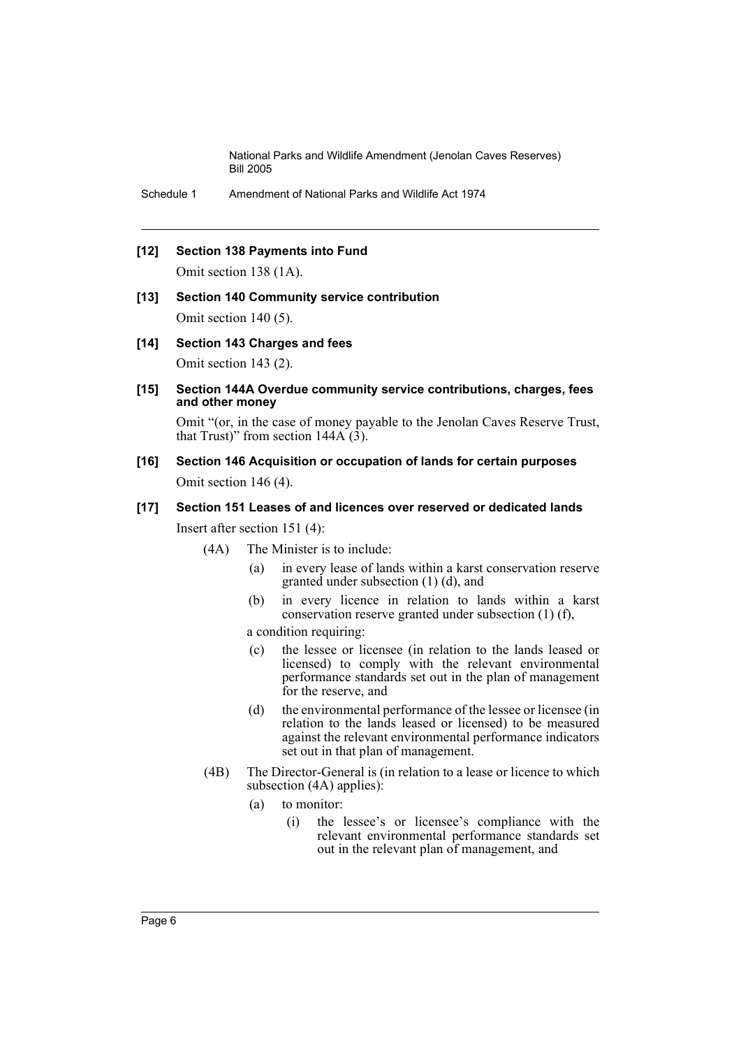Schedule 1 Amendment of National Parks and Wildlife Act 1974

#### **[12] Section 138 Payments into Fund**

Omit section 138 (1A).

# **[13] Section 140 Community service contribution**

Omit section 140 (5).

#### **[14] Section 143 Charges and fees**

Omit section 143 (2).

#### **[15] Section 144A Overdue community service contributions, charges, fees and other money**

Omit "(or, in the case of money payable to the Jenolan Caves Reserve Trust, that Trust)" from section  $144A(\hat{3})$ .

# **[16] Section 146 Acquisition or occupation of lands for certain purposes** Omit section 146 (4).

#### **[17] Section 151 Leases of and licences over reserved or dedicated lands**

Insert after section 151 (4):

- (4A) The Minister is to include:
	- (a) in every lease of lands within a karst conservation reserve granted under subsection (1) (d), and
	- (b) in every licence in relation to lands within a karst conservation reserve granted under subsection (1) (f),

#### a condition requiring:

- (c) the lessee or licensee (in relation to the lands leased or licensed) to comply with the relevant environmental performance standards set out in the plan of management for the reserve, and
- (d) the environmental performance of the lessee or licensee (in relation to the lands leased or licensed) to be measured against the relevant environmental performance indicators set out in that plan of management.
- (4B) The Director-General is (in relation to a lease or licence to which subsection (4A) applies):
	- (a) to monitor:
		- (i) the lessee's or licensee's compliance with the relevant environmental performance standards set out in the relevant plan of management, and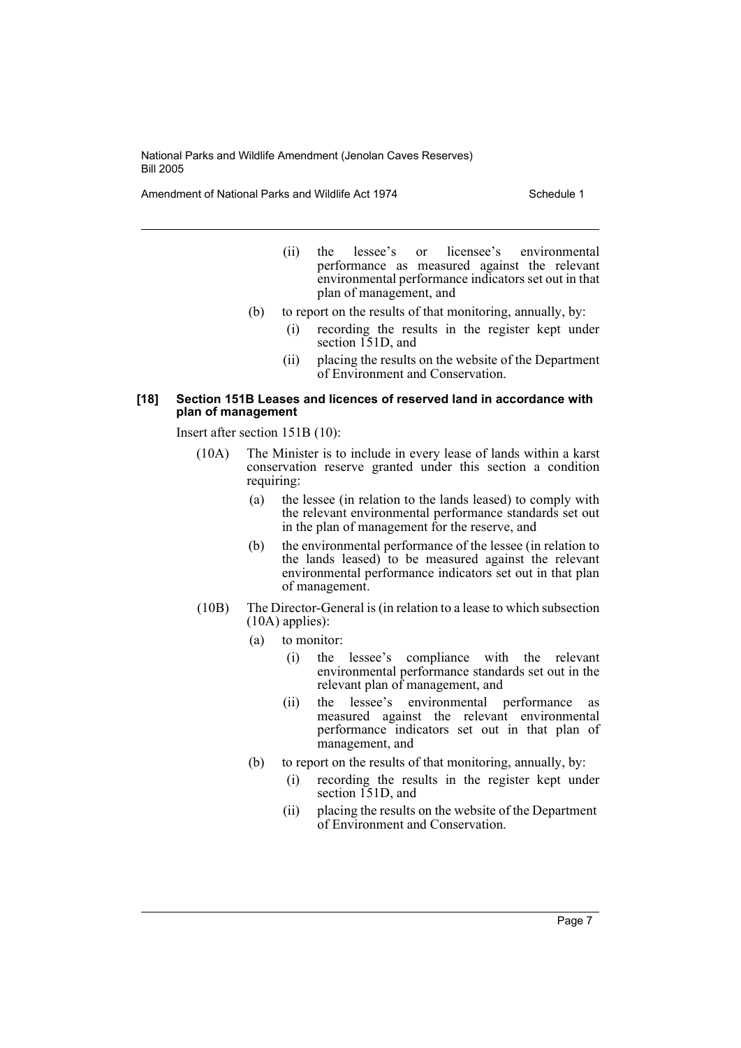Amendment of National Parks and Wildlife Act 1974 Schedule 1

- (ii) the lessee's or licensee's environmental performance as measured against the relevant environmental performance indicators set out in that plan of management, and
- (b) to report on the results of that monitoring, annually, by:
	- (i) recording the results in the register kept under section 151D, and
	- (ii) placing the results on the website of the Department of Environment and Conservation.

#### **[18] Section 151B Leases and licences of reserved land in accordance with plan of management**

Insert after section 151B (10):

- (10A) The Minister is to include in every lease of lands within a karst conservation reserve granted under this section a condition requiring:
	- (a) the lessee (in relation to the lands leased) to comply with the relevant environmental performance standards set out in the plan of management for the reserve, and
	- (b) the environmental performance of the lessee (in relation to the lands leased) to be measured against the relevant environmental performance indicators set out in that plan of management.
- (10B) The Director-General is (in relation to a lease to which subsection (10A) applies):
	- (a) to monitor:
		- (i) the lessee's compliance with the relevant environmental performance standards set out in the relevant plan of management, and
		- (ii) the lessee's environmental performance as measured against the relevant environmental performance indicators set out in that plan of management, and
	- (b) to report on the results of that monitoring, annually, by:
		- (i) recording the results in the register kept under section 151D, and
		- (ii) placing the results on the website of the Department of Environment and Conservation.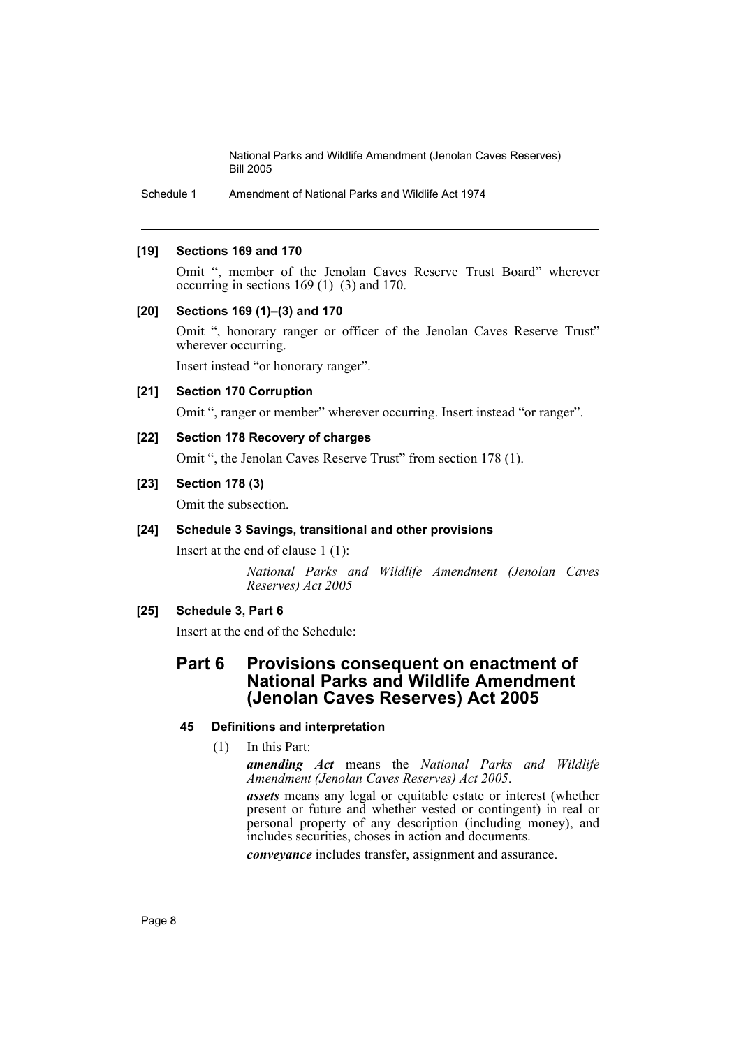Schedule 1 Amendment of National Parks and Wildlife Act 1974

#### **[19] Sections 169 and 170**

Omit ", member of the Jenolan Caves Reserve Trust Board" wherever occurring in sections  $169 (1)–(3)$  and 170.

#### **[20] Sections 169 (1)–(3) and 170**

Omit ", honorary ranger or officer of the Jenolan Caves Reserve Trust" wherever occurring.

Insert instead "or honorary ranger".

#### **[21] Section 170 Corruption**

Omit ", ranger or member" wherever occurring. Insert instead "or ranger".

#### **[22] Section 178 Recovery of charges**

Omit ", the Jenolan Caves Reserve Trust" from section 178 (1).

# **[23] Section 178 (3)**

Omit the subsection.

# **[24] Schedule 3 Savings, transitional and other provisions**

Insert at the end of clause 1 (1):

*National Parks and Wildlife Amendment (Jenolan Caves Reserves) Act 2005*

# **[25] Schedule 3, Part 6**

Insert at the end of the Schedule:

# **Part 6 Provisions consequent on enactment of National Parks and Wildlife Amendment (Jenolan Caves Reserves) Act 2005**

# **45 Definitions and interpretation**

(1) In this Part:

*amending Act* means the *National Parks and Wildlife Amendment (Jenolan Caves Reserves) Act 2005*.

*assets* means any legal or equitable estate or interest (whether present or future and whether vested or contingent) in real or personal property of any description (including money), and includes securities, choses in action and documents.

*conveyance* includes transfer, assignment and assurance.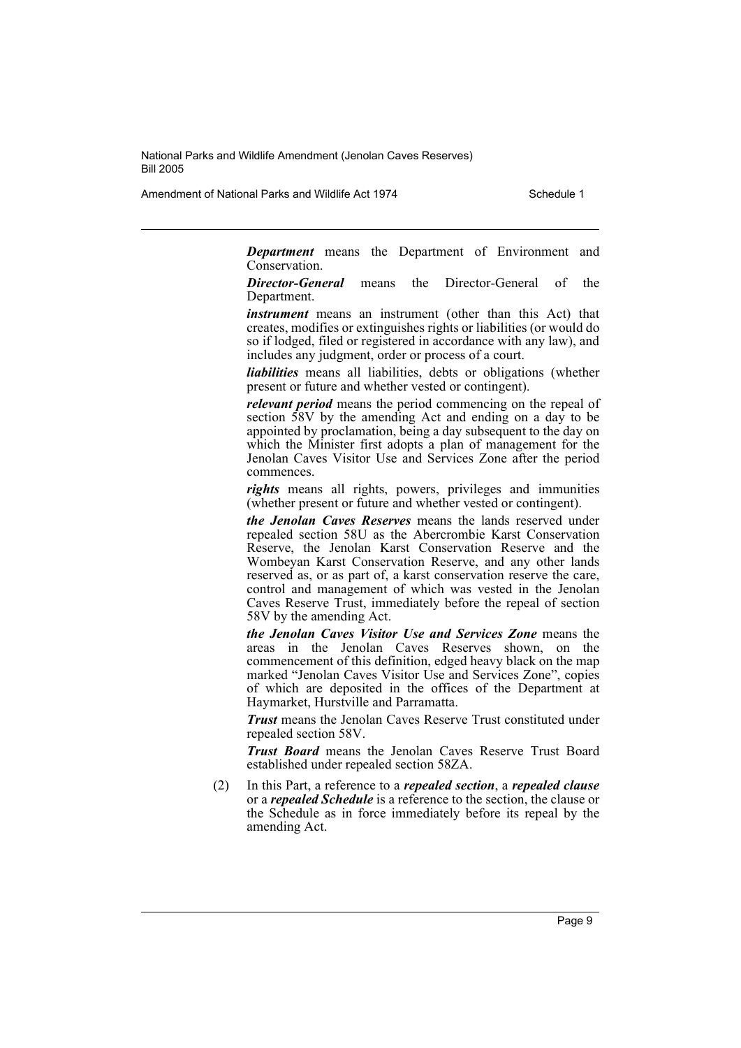Amendment of National Parks and Wildlife Act 1974 Schedule 1

*Department* means the Department of Environment and Conservation.

*Director-General* means the Director-General of the **Department** 

*instrument* means an instrument (other than this Act) that creates, modifies or extinguishes rights or liabilities (or would do so if lodged, filed or registered in accordance with any law), and includes any judgment, order or process of a court.

*liabilities* means all liabilities, debts or obligations (whether present or future and whether vested or contingent).

*relevant period* means the period commencing on the repeal of section 58V by the amending Act and ending on a day to be appointed by proclamation, being a day subsequent to the day on which the Minister first adopts a plan of management for the Jenolan Caves Visitor Use and Services Zone after the period commences.

*rights* means all rights, powers, privileges and immunities (whether present or future and whether vested or contingent).

*the Jenolan Caves Reserves* means the lands reserved under repealed section 58U as the Abercrombie Karst Conservation Reserve, the Jenolan Karst Conservation Reserve and the Wombeyan Karst Conservation Reserve, and any other lands reserved as, or as part of, a karst conservation reserve the care, control and management of which was vested in the Jenolan Caves Reserve Trust, immediately before the repeal of section 58V by the amending Act.

*the Jenolan Caves Visitor Use and Services Zone* means the areas in the Jenolan Caves Reserves shown, on the commencement of this definition, edged heavy black on the map marked "Jenolan Caves Visitor Use and Services Zone", copies of which are deposited in the offices of the Department at Haymarket, Hurstville and Parramatta.

*Trust* means the Jenolan Caves Reserve Trust constituted under repealed section 58V.

*Trust Board* means the Jenolan Caves Reserve Trust Board established under repealed section 58ZA.

(2) In this Part, a reference to a *repealed section*, a *repealed clause* or a *repealed Schedule* is a reference to the section, the clause or the Schedule as in force immediately before its repeal by the amending Act.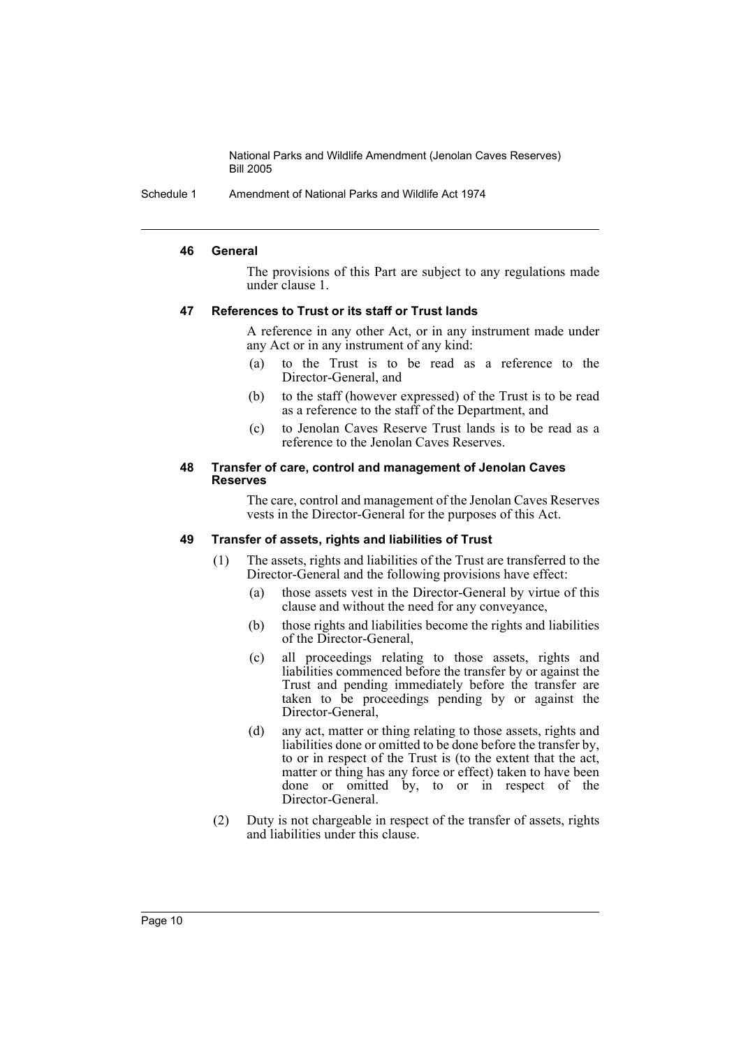Schedule 1 Amendment of National Parks and Wildlife Act 1974

#### **46 General**

The provisions of this Part are subject to any regulations made under clause 1.

#### **47 References to Trust or its staff or Trust lands**

A reference in any other Act, or in any instrument made under any Act or in any instrument of any kind:

- (a) to the Trust is to be read as a reference to the Director-General, and
- (b) to the staff (however expressed) of the Trust is to be read as a reference to the staff of the Department, and
- (c) to Jenolan Caves Reserve Trust lands is to be read as a reference to the Jenolan Caves Reserves.

#### **48 Transfer of care, control and management of Jenolan Caves Reserves**

The care, control and management of the Jenolan Caves Reserves vests in the Director-General for the purposes of this Act.

#### **49 Transfer of assets, rights and liabilities of Trust**

- (1) The assets, rights and liabilities of the Trust are transferred to the Director-General and the following provisions have effect:
	- (a) those assets vest in the Director-General by virtue of this clause and without the need for any conveyance,
	- (b) those rights and liabilities become the rights and liabilities of the Director-General,
	- (c) all proceedings relating to those assets, rights and liabilities commenced before the transfer by or against the Trust and pending immediately before the transfer are taken to be proceedings pending by or against the Director-General,
	- (d) any act, matter or thing relating to those assets, rights and liabilities done or omitted to be done before the transfer by, to or in respect of the Trust is (to the extent that the act, matter or thing has any force or effect) taken to have been done or omitted by, to or in respect of the Director-General.
- (2) Duty is not chargeable in respect of the transfer of assets, rights and liabilities under this clause.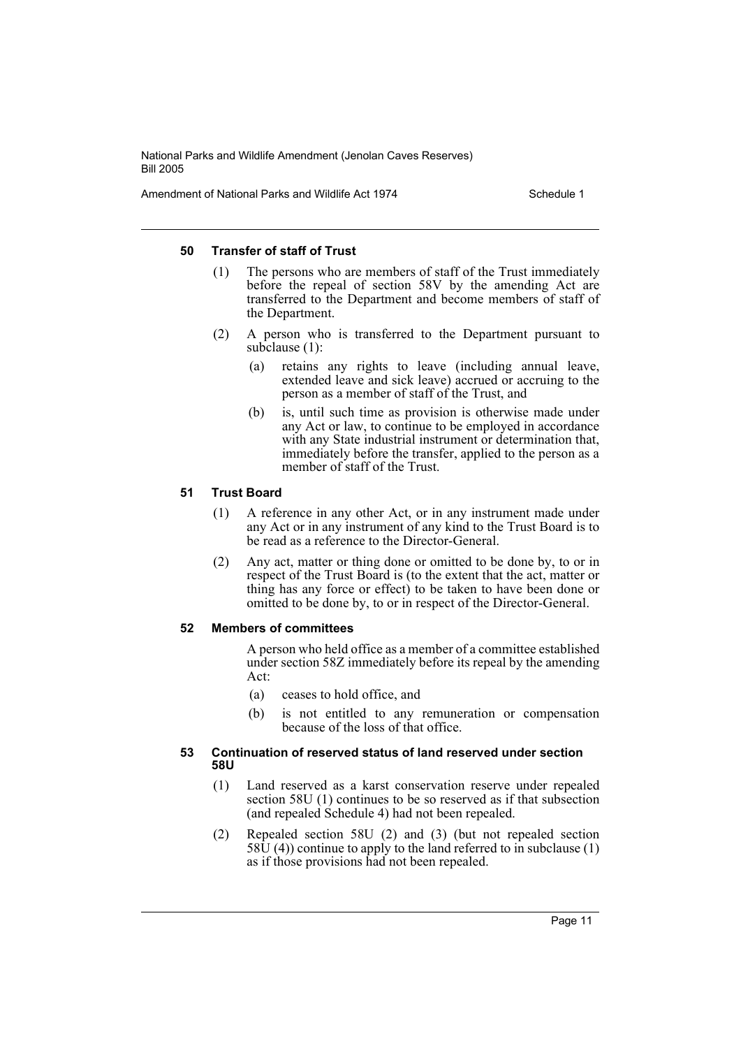Amendment of National Parks and Wildlife Act 1974 Schedule 1

#### **50 Transfer of staff of Trust**

- (1) The persons who are members of staff of the Trust immediately before the repeal of section 58V by the amending Act are transferred to the Department and become members of staff of the Department.
- (2) A person who is transferred to the Department pursuant to subclause (1):
	- (a) retains any rights to leave (including annual leave, extended leave and sick leave) accrued or accruing to the person as a member of staff of the Trust, and
	- (b) is, until such time as provision is otherwise made under any Act or law, to continue to be employed in accordance with any State industrial instrument or determination that, immediately before the transfer, applied to the person as a member of staff of the Trust.

# **51 Trust Board**

- (1) A reference in any other Act, or in any instrument made under any Act or in any instrument of any kind to the Trust Board is to be read as a reference to the Director-General.
- (2) Any act, matter or thing done or omitted to be done by, to or in respect of the Trust Board is (to the extent that the act, matter or thing has any force or effect) to be taken to have been done or omitted to be done by, to or in respect of the Director-General.

# **52 Members of committees**

A person who held office as a member of a committee established under section 58Z immediately before its repeal by the amending Act:

- (a) ceases to hold office, and
- (b) is not entitled to any remuneration or compensation because of the loss of that office.

#### **53 Continuation of reserved status of land reserved under section 58U**

- (1) Land reserved as a karst conservation reserve under repealed section 58U (1) continues to be so reserved as if that subsection (and repealed Schedule 4) had not been repealed.
- (2) Repealed section 58U (2) and (3) (but not repealed section  $58\bar{U}$  (4)) continue to apply to the land referred to in subclause (1) as if those provisions had not been repealed.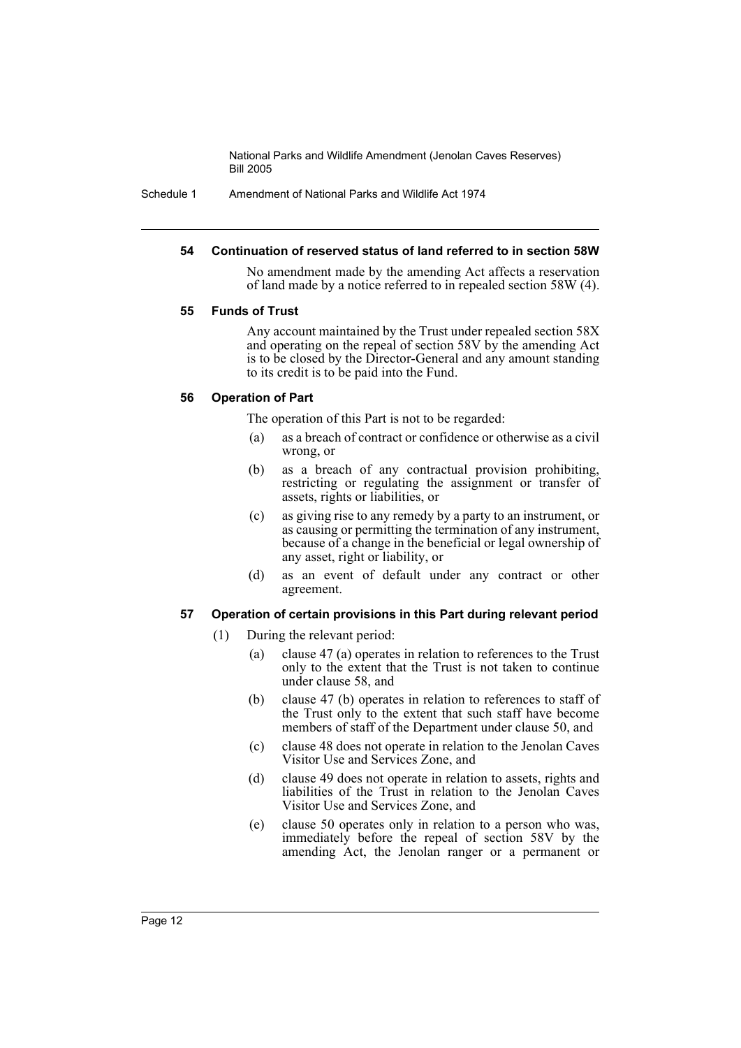Schedule 1 Amendment of National Parks and Wildlife Act 1974

#### **54 Continuation of reserved status of land referred to in section 58W**

No amendment made by the amending Act affects a reservation of land made by a notice referred to in repealed section 58W (4).

#### **55 Funds of Trust**

Any account maintained by the Trust under repealed section 58X and operating on the repeal of section 58V by the amending Act is to be closed by the Director-General and any amount standing to its credit is to be paid into the Fund.

#### **56 Operation of Part**

The operation of this Part is not to be regarded:

- (a) as a breach of contract or confidence or otherwise as a civil wrong, or
- (b) as a breach of any contractual provision prohibiting, restricting or regulating the assignment or transfer of assets, rights or liabilities, or
- (c) as giving rise to any remedy by a party to an instrument, or as causing or permitting the termination of any instrument, because of a change in the beneficial or legal ownership of any asset, right or liability, or
- (d) as an event of default under any contract or other agreement.

#### **57 Operation of certain provisions in this Part during relevant period**

- (1) During the relevant period:
	- (a) clause 47 (a) operates in relation to references to the Trust only to the extent that the Trust is not taken to continue under clause 58, and
	- (b) clause 47 (b) operates in relation to references to staff of the Trust only to the extent that such staff have become members of staff of the Department under clause 50, and
	- (c) clause 48 does not operate in relation to the Jenolan Caves Visitor Use and Services Zone, and
	- (d) clause 49 does not operate in relation to assets, rights and liabilities of the Trust in relation to the Jenolan Caves Visitor Use and Services Zone, and
	- (e) clause 50 operates only in relation to a person who was, immediately before the repeal of section 58V by the amending Act, the Jenolan ranger or a permanent or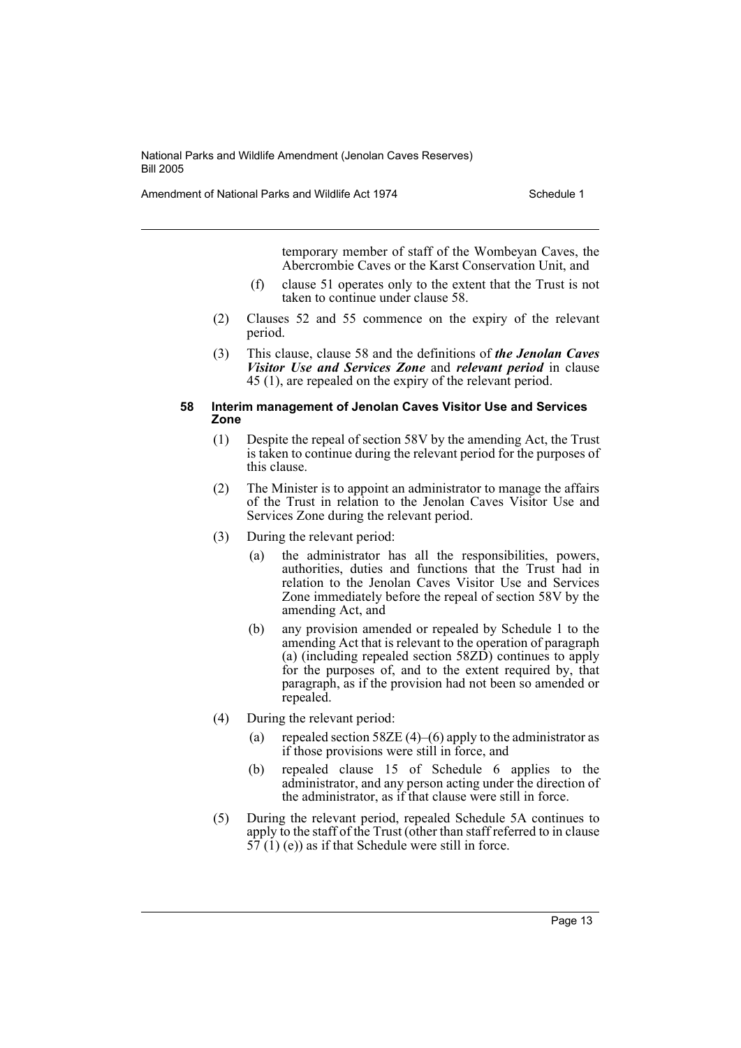Amendment of National Parks and Wildlife Act 1974 Schedule 1

temporary member of staff of the Wombeyan Caves, the Abercrombie Caves or the Karst Conservation Unit, and

- (f) clause 51 operates only to the extent that the Trust is not taken to continue under clause 58.
- (2) Clauses 52 and 55 commence on the expiry of the relevant period.
- (3) This clause, clause 58 and the definitions of *the Jenolan Caves Visitor Use and Services Zone* and *relevant period* in clause 45 (1), are repealed on the expiry of the relevant period.

#### **58 Interim management of Jenolan Caves Visitor Use and Services Zone**

- (1) Despite the repeal of section 58V by the amending Act, the Trust is taken to continue during the relevant period for the purposes of this clause.
- (2) The Minister is to appoint an administrator to manage the affairs of the Trust in relation to the Jenolan Caves Visitor Use and Services Zone during the relevant period.
- (3) During the relevant period:
	- (a) the administrator has all the responsibilities, powers, authorities, duties and functions that the Trust had in relation to the Jenolan Caves Visitor Use and Services Zone immediately before the repeal of section 58V by the amending Act, and
	- (b) any provision amended or repealed by Schedule 1 to the amending Act that is relevant to the operation of paragraph (a) (including repealed section 58ZD) continues to apply for the purposes of, and to the extent required by, that paragraph, as if the provision had not been so amended or repealed.
- (4) During the relevant period:
	- (a) repealed section 58ZE  $(4)$ – $(6)$  apply to the administrator as if those provisions were still in force, and
	- (b) repealed clause 15 of Schedule 6 applies to the administrator, and any person acting under the direction of the administrator, as if that clause were still in force.
- (5) During the relevant period, repealed Schedule 5A continues to apply to the staff of the Trust (other than staff referred to in clause  $57(1)$  (e)) as if that Schedule were still in force.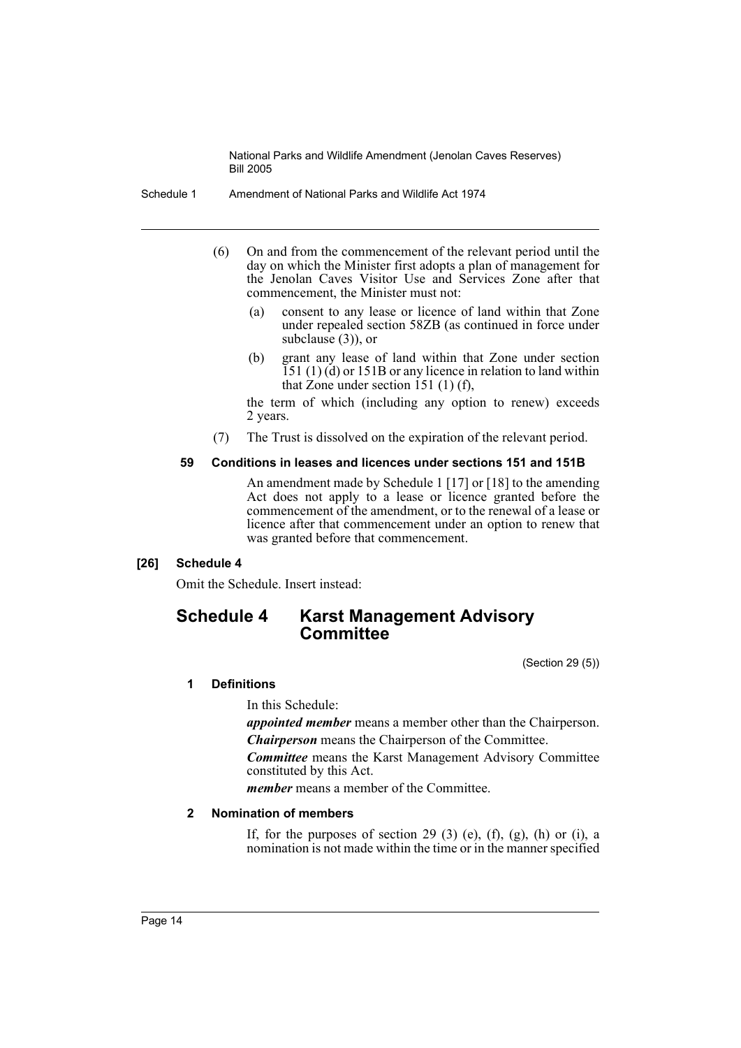Schedule 1 Amendment of National Parks and Wildlife Act 1974

- (6) On and from the commencement of the relevant period until the day on which the Minister first adopts a plan of management for the Jenolan Caves Visitor Use and Services Zone after that commencement, the Minister must not:
	- (a) consent to any lease or licence of land within that Zone under repealed section 58ZB (as continued in force under subclause (3)), or
	- (b) grant any lease of land within that Zone under section  $151$  (1) (d) or 151B or any licence in relation to land within that Zone under section 151 (1) (f),

the term of which (including any option to renew) exceeds 2 years.

(7) The Trust is dissolved on the expiration of the relevant period.

#### **59 Conditions in leases and licences under sections 151 and 151B**

An amendment made by Schedule 1 [17] or [18] to the amending Act does not apply to a lease or licence granted before the commencement of the amendment, or to the renewal of a lease or licence after that commencement under an option to renew that was granted before that commencement.

# **[26] Schedule 4**

Omit the Schedule. Insert instead:

# **Schedule 4 Karst Management Advisory Committee**

(Section 29 (5))

# **1 Definitions**

In this Schedule:

*appointed member* means a member other than the Chairperson. *Chairperson* means the Chairperson of the Committee.

*Committee* means the Karst Management Advisory Committee constituted by this Act.

*member* means a member of the Committee.

# **2 Nomination of members**

If, for the purposes of section 29 (3) (e), (f), (g), (h) or (i), a nomination is not made within the time or in the manner specified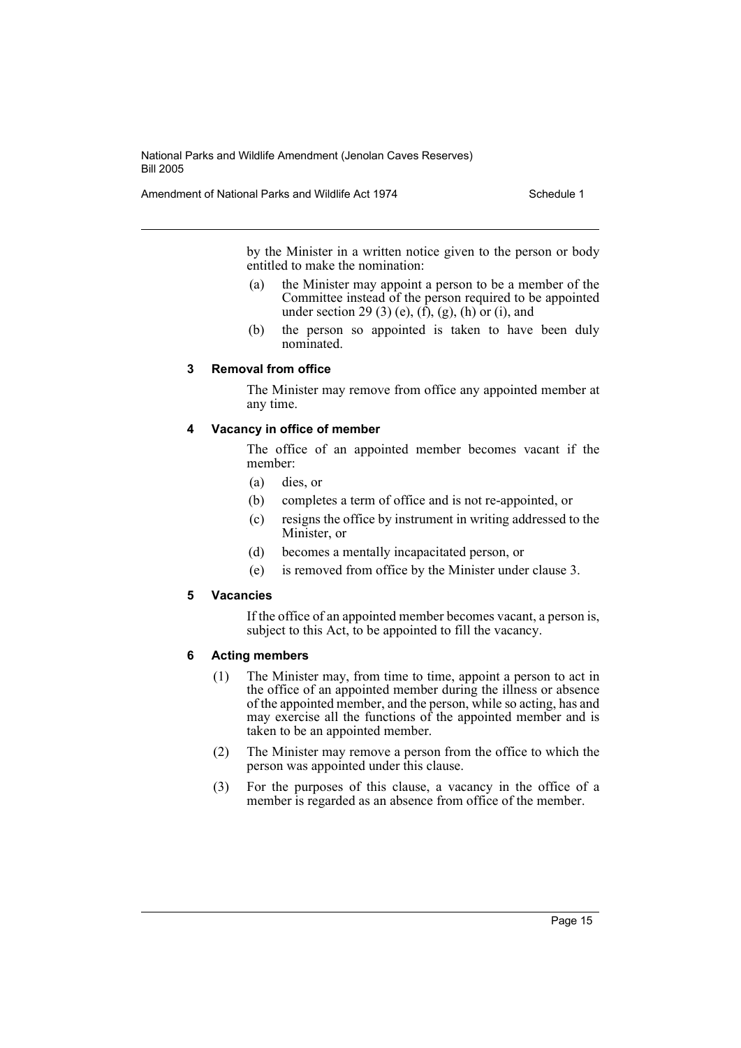Amendment of National Parks and Wildlife Act 1974 Schedule 1

by the Minister in a written notice given to the person or body entitled to make the nomination:

- (a) the Minister may appoint a person to be a member of the Committee instead of the person required to be appointed under section 29 (3) (e),  $(\hat{f})$ ,  $(g)$ ,  $(h)$  or  $(i)$ , and
- (b) the person so appointed is taken to have been duly nominated.

#### **3 Removal from office**

The Minister may remove from office any appointed member at any time.

#### **4 Vacancy in office of member**

The office of an appointed member becomes vacant if the member:

- (a) dies, or
- (b) completes a term of office and is not re-appointed, or
- (c) resigns the office by instrument in writing addressed to the Minister, or
- (d) becomes a mentally incapacitated person, or
- (e) is removed from office by the Minister under clause 3.

#### **5 Vacancies**

If the office of an appointed member becomes vacant, a person is, subject to this Act, to be appointed to fill the vacancy.

#### **6 Acting members**

- (1) The Minister may, from time to time, appoint a person to act in the office of an appointed member during the illness or absence of the appointed member, and the person, while so acting, has and may exercise all the functions of the appointed member and is taken to be an appointed member.
- (2) The Minister may remove a person from the office to which the person was appointed under this clause.
- (3) For the purposes of this clause, a vacancy in the office of a member is regarded as an absence from office of the member.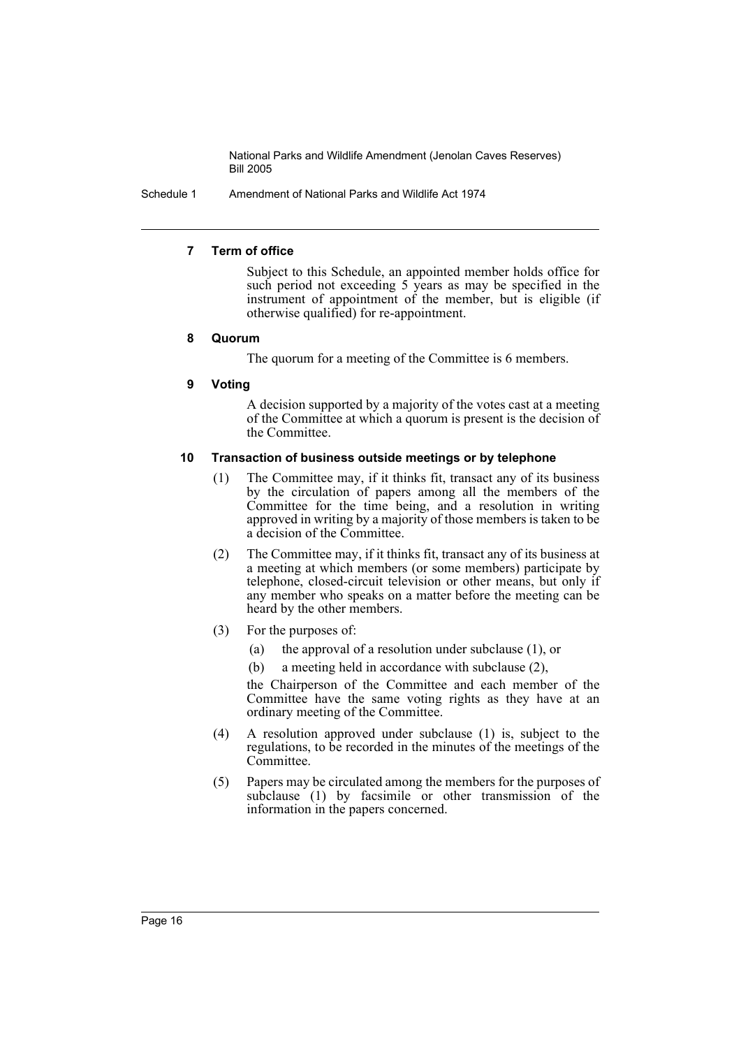Schedule 1 Amendment of National Parks and Wildlife Act 1974

#### **7 Term of office**

Subject to this Schedule, an appointed member holds office for such period not exceeding 5 years as may be specified in the instrument of appointment of the member, but is eligible (if otherwise qualified) for re-appointment.

#### **8 Quorum**

The quorum for a meeting of the Committee is 6 members.

#### **9 Voting**

A decision supported by a majority of the votes cast at a meeting of the Committee at which a quorum is present is the decision of the Committee.

#### **10 Transaction of business outside meetings or by telephone**

- (1) The Committee may, if it thinks fit, transact any of its business by the circulation of papers among all the members of the Committee for the time being, and a resolution in writing approved in writing by a majority of those members is taken to be a decision of the Committee.
- (2) The Committee may, if it thinks fit, transact any of its business at a meeting at which members (or some members) participate by telephone, closed-circuit television or other means, but only if any member who speaks on a matter before the meeting can be heard by the other members.
- (3) For the purposes of:
	- (a) the approval of a resolution under subclause (1), or
	- (b) a meeting held in accordance with subclause (2),

the Chairperson of the Committee and each member of the Committee have the same voting rights as they have at an ordinary meeting of the Committee.

- (4) A resolution approved under subclause (1) is, subject to the regulations, to be recorded in the minutes of the meetings of the Committee.
- (5) Papers may be circulated among the members for the purposes of subclause (1) by facsimile or other transmission of the information in the papers concerned.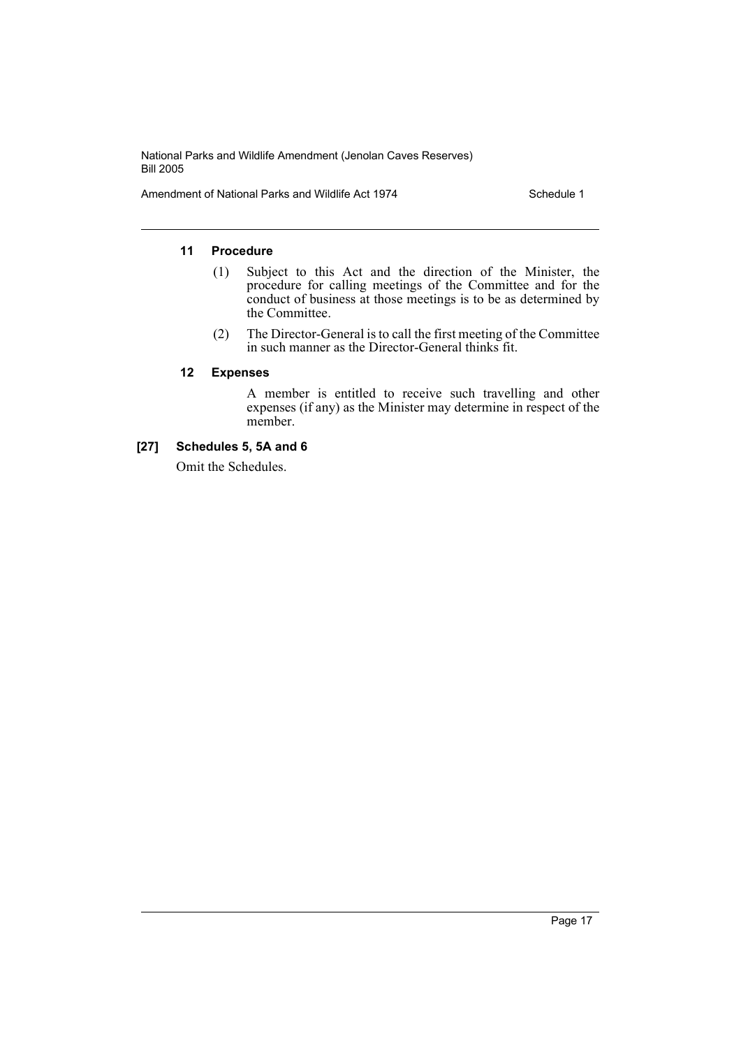Amendment of National Parks and Wildlife Act 1974 Schedule 1

# **11 Procedure**

- (1) Subject to this Act and the direction of the Minister, the procedure for calling meetings of the Committee and for the conduct of business at those meetings is to be as determined by the Committee.
- (2) The Director-General is to call the first meeting of the Committee in such manner as the Director-General thinks fit.

#### **12 Expenses**

A member is entitled to receive such travelling and other expenses (if any) as the Minister may determine in respect of the member.

# **[27] Schedules 5, 5A and 6**

Omit the Schedules.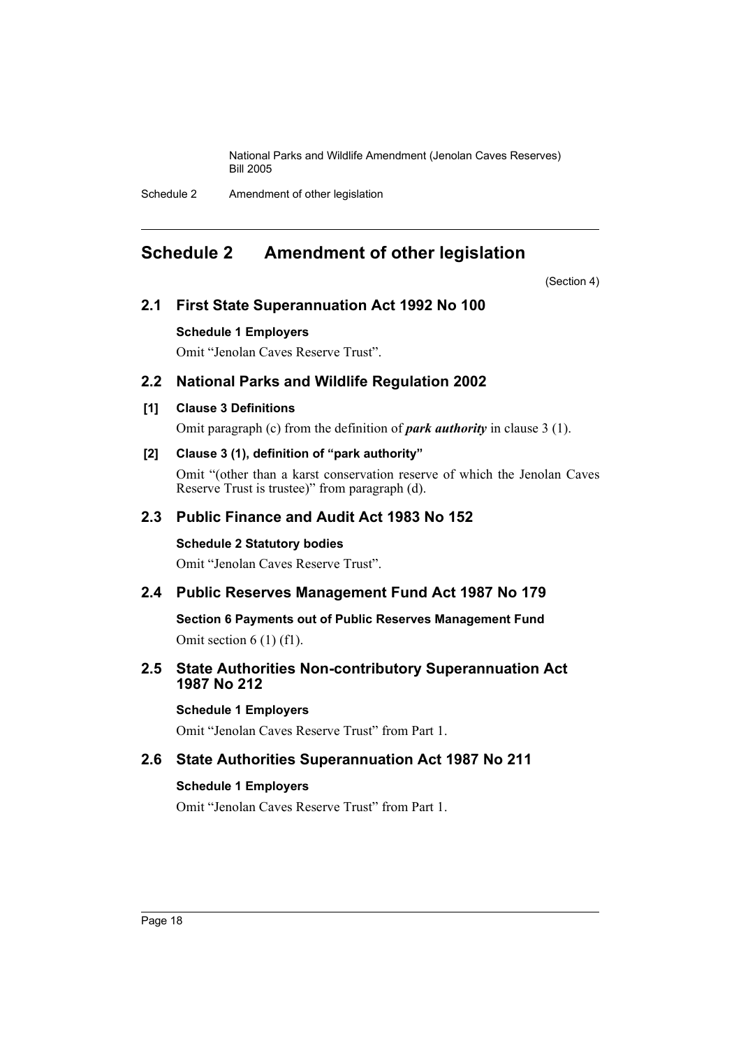Schedule 2 Amendment of other legislation

# <span id="page-18-0"></span>**Schedule 2 Amendment of other legislation**

(Section 4)

# **2.1 First State Superannuation Act 1992 No 100**

# **Schedule 1 Employers**

Omit "Jenolan Caves Reserve Trust".

# **2.2 National Parks and Wildlife Regulation 2002**

# **[1] Clause 3 Definitions**

Omit paragraph (c) from the definition of *park authority* in clause 3 (1).

# **[2] Clause 3 (1), definition of "park authority"**

Omit "(other than a karst conservation reserve of which the Jenolan Caves Reserve Trust is trustee)" from paragraph (d).

# **2.3 Public Finance and Audit Act 1983 No 152**

# **Schedule 2 Statutory bodies**

Omit "Jenolan Caves Reserve Trust".

# **2.4 Public Reserves Management Fund Act 1987 No 179**

**Section 6 Payments out of Public Reserves Management Fund**

Omit section 6 (1) (f1).

# **2.5 State Authorities Non-contributory Superannuation Act 1987 No 212**

# **Schedule 1 Employers**

Omit "Jenolan Caves Reserve Trust" from Part 1.

# **2.6 State Authorities Superannuation Act 1987 No 211**

# **Schedule 1 Employers**

Omit "Jenolan Caves Reserve Trust" from Part 1.